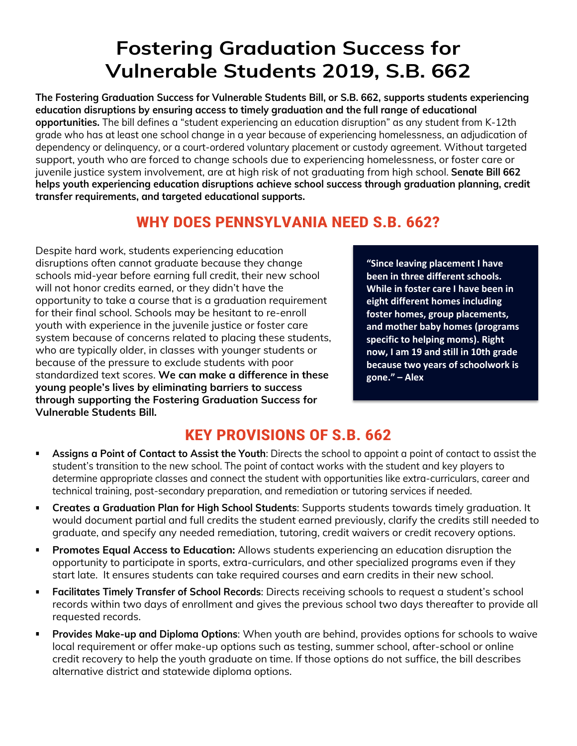## **Fostering Graduation Success for Vulnerable Students 2019, S.B. 662**

**The Fostering Graduation Success for Vulnerable Students Bill, or S.B. 662, supports students experiencing education disruptions by ensuring access to timely graduation and the full range of educational opportunities.** The bill defines a "student experiencing an education disruption" as any student from K-12th grade who has at least one school change in a year because of experiencing homelessness, an adjudication of dependency or delinquency, or a court-ordered voluntary placement or custody agreement. Without targeted support, youth who are forced to change schools due to experiencing homelessness, or foster care or juvenile justice system involvement, are at high risk of not graduating from high school. **Senate Bill 662 helps youth experiencing education disruptions achieve school success through graduation planning, credit transfer requirements, and targeted educational supports.** 

## **WHY DOES PENNSYLVANIA NEED S.B. 662?**

Despite hard work, students experiencing education disruptions often cannot graduate because they change schools mid-year before earning full credit, their new school will not honor credits earned, or they didn't have the opportunity to take a course that is a graduation requirement for their final school. Schools may be hesitant to re-enroll youth with experience in the juvenile justice or foster care system because of concerns related to placing these students, who are typically older, in classes with younger students or because of the pressure to exclude students with poor standardized text scores. **We can make a difference in these young people's lives by eliminating barriers to success through supporting the Fostering Graduation Success for Vulnerable Students Bill.** 

**"Since leaving placement I have been in three different schools. While in foster care I have been in eight different homes including foster homes, group placements, and mother baby homes (programs specific to helping moms). Right now, I am 19 and still in 10th grade because two years of schoolwork is gone." – Alex**

## **KEY PROVISIONS OF S.B. 662**

- **Assigns a Point of Contact to Assist the Youth**: Directs the school to appoint a point of contact to assist the student's transition to the new school. The point of contact works with the student and key players to determine appropriate classes and connect the student with opportunities like extra-curriculars, career and technical training, post-secondary preparation, and remediation or tutoring services if needed.
- **Creates a Graduation Plan for High School Students**: Supports students towards timely graduation. It would document partial and full credits the student earned previously, clarify the credits still needed to graduate, and specify any needed remediation, tutoring, credit waivers or credit recovery options.
- **Promotes Equal Access to Education:** Allows students experiencing an education disruption the opportunity to participate in sports, extra-curriculars, and other specialized programs even if they start late. It ensures students can take required courses and earn credits in their new school.
- **Facilitates Timely Transfer of School Records**: Directs receiving schools to request a student's school records within two days of enrollment and gives the previous school two days thereafter to provide all requested records.
- **Provides Make-up and Diploma Options:** When youth are behind, provides options for schools to waive local requirement or offer make-up options such as testing, summer school, after-school or online credit recovery to help the youth graduate on time. If those options do not suffice, the bill describes alternative district and statewide diploma options.